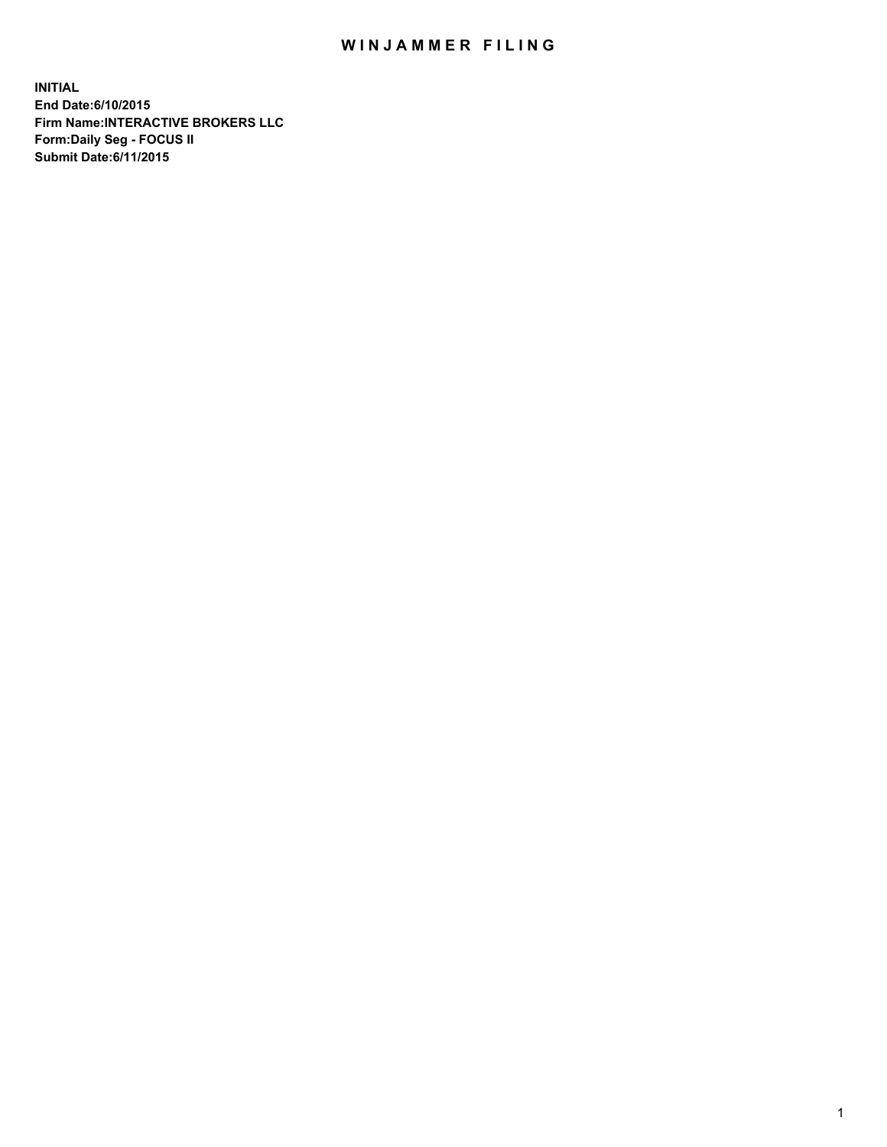## WIN JAMMER FILING

**INITIAL End Date:6/10/2015 Firm Name:INTERACTIVE BROKERS LLC Form:Daily Seg - FOCUS II Submit Date:6/11/2015**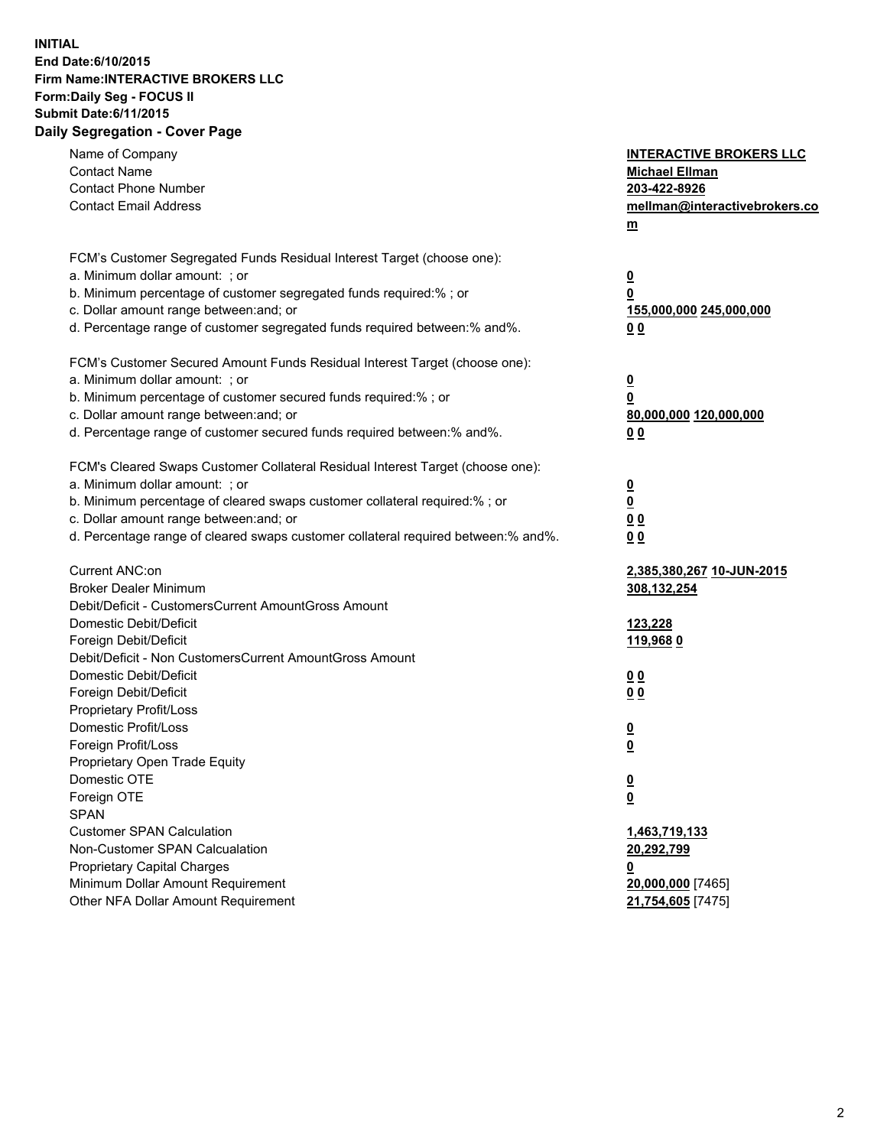## **INITIAL End Date:6/10/2015 Firm Name:INTERACTIVE BROKERS LLC Form:Daily Seg - FOCUS II Submit Date:6/11/2015 Daily Segregation - Cover Page**

| <b>INTERACTIVE BROKERS LLC</b><br><b>Michael Ellman</b><br>203-422-8926<br>mellman@interactivebrokers.co<br>$m$ |
|-----------------------------------------------------------------------------------------------------------------|
| $\overline{\mathbf{0}}$                                                                                         |
| 0                                                                                                               |
| 155,000,000 245,000,000                                                                                         |
| 0 <sub>0</sub>                                                                                                  |
|                                                                                                                 |
| $\overline{\mathbf{0}}$                                                                                         |
| 0                                                                                                               |
| 80,000,000 120,000,000                                                                                          |
| 0 <sub>0</sub>                                                                                                  |
|                                                                                                                 |
| $\overline{\mathbf{0}}$                                                                                         |
| $\overline{\mathbf{0}}$                                                                                         |
| 0 <sub>0</sub>                                                                                                  |
| 0 <sub>0</sub>                                                                                                  |
| 2,385,380,267 10-JUN-2015                                                                                       |
| 308,132,254                                                                                                     |
|                                                                                                                 |
| 123,228                                                                                                         |
| 119,9680                                                                                                        |
|                                                                                                                 |
| 0 <sub>0</sub>                                                                                                  |
| 0 <sub>0</sub>                                                                                                  |
|                                                                                                                 |
| $\overline{\mathbf{0}}$<br>$\underline{\mathbf{0}}$                                                             |
|                                                                                                                 |
| <u>0</u>                                                                                                        |
| <u>0</u>                                                                                                        |
|                                                                                                                 |
| 1,463,719,133                                                                                                   |
| 20,292,799                                                                                                      |
| <u>0</u>                                                                                                        |
| 20,000,000 [7465]                                                                                               |
| 21,754,605 [7475]                                                                                               |
|                                                                                                                 |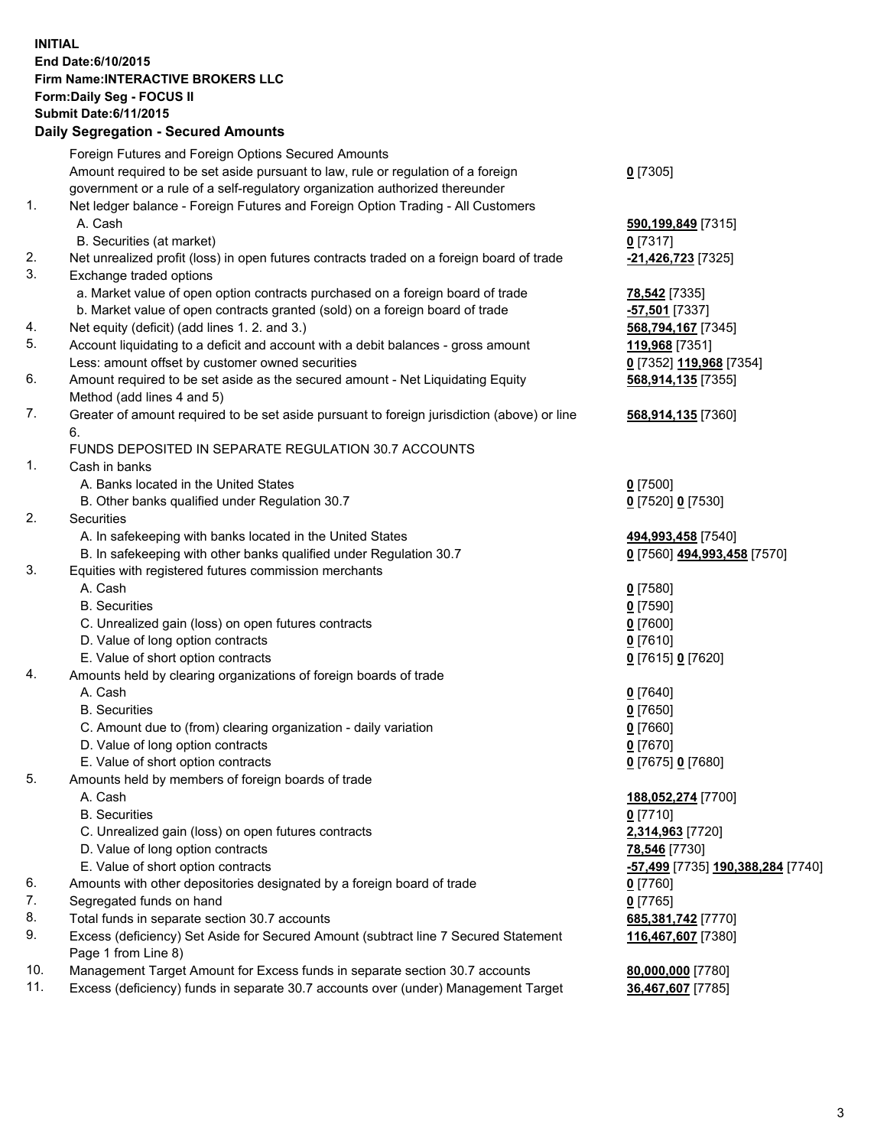## **INITIAL End Date:6/10/2015 Firm Name:INTERACTIVE BROKERS LLC Form:Daily Seg - FOCUS II Submit Date:6/11/2015 Daily Segregation - Secured Amounts**

|     | Dany Ocgregation - Oceanea Annoanta                                                         |                                                         |
|-----|---------------------------------------------------------------------------------------------|---------------------------------------------------------|
|     | Foreign Futures and Foreign Options Secured Amounts                                         |                                                         |
|     | Amount required to be set aside pursuant to law, rule or regulation of a foreign            | $0$ [7305]                                              |
|     | government or a rule of a self-regulatory organization authorized thereunder                |                                                         |
| 1.  | Net ledger balance - Foreign Futures and Foreign Option Trading - All Customers             |                                                         |
|     | A. Cash                                                                                     | 590,199,849 [7315]                                      |
|     | B. Securities (at market)                                                                   | $0$ [7317]                                              |
| 2.  | Net unrealized profit (loss) in open futures contracts traded on a foreign board of trade   | -21,426,723 [7325]                                      |
| 3.  | Exchange traded options                                                                     |                                                         |
|     | a. Market value of open option contracts purchased on a foreign board of trade              | <b>78,542</b> [7335]                                    |
|     | b. Market value of open contracts granted (sold) on a foreign board of trade                | -57,501 [7337]                                          |
| 4.  | Net equity (deficit) (add lines 1. 2. and 3.)                                               | 568,794,167 [7345]                                      |
| 5.  | Account liquidating to a deficit and account with a debit balances - gross amount           | 119,968 [7351]                                          |
|     | Less: amount offset by customer owned securities                                            | 0 [7352] 119,968 [7354]                                 |
| 6.  | Amount required to be set aside as the secured amount - Net Liquidating Equity              | 568,914,135 [7355]                                      |
|     | Method (add lines 4 and 5)                                                                  |                                                         |
| 7.  | Greater of amount required to be set aside pursuant to foreign jurisdiction (above) or line | 568,914,135 [7360]                                      |
|     | 6.                                                                                          |                                                         |
|     | FUNDS DEPOSITED IN SEPARATE REGULATION 30.7 ACCOUNTS                                        |                                                         |
| 1.  | Cash in banks                                                                               |                                                         |
|     | A. Banks located in the United States                                                       | $0$ [7500]                                              |
|     | B. Other banks qualified under Regulation 30.7                                              | 0 [7520] 0 [7530]                                       |
| 2.  | Securities                                                                                  |                                                         |
|     | A. In safekeeping with banks located in the United States                                   | 494,993,458 [7540]                                      |
|     | B. In safekeeping with other banks qualified under Regulation 30.7                          | 0 [7560] 494,993,458 [7570]                             |
| 3.  | Equities with registered futures commission merchants                                       |                                                         |
|     | A. Cash                                                                                     | $0$ [7580]                                              |
|     | <b>B.</b> Securities                                                                        | $0$ [7590]                                              |
|     | C. Unrealized gain (loss) on open futures contracts                                         | $0$ [7600]                                              |
|     | D. Value of long option contracts                                                           | $0$ [7610]                                              |
|     | E. Value of short option contracts                                                          | 0 [7615] 0 [7620]                                       |
| 4.  | Amounts held by clearing organizations of foreign boards of trade                           |                                                         |
|     | A. Cash                                                                                     | $0$ [7640]                                              |
|     | <b>B.</b> Securities                                                                        | $0$ [7650]                                              |
|     | C. Amount due to (from) clearing organization - daily variation                             | $0$ [7660]                                              |
|     | D. Value of long option contracts                                                           | $0$ [7670]                                              |
|     | E. Value of short option contracts                                                          | 0 [7675] 0 [7680]                                       |
| 5.  | Amounts held by members of foreign boards of trade                                          |                                                         |
|     | A. Cash                                                                                     | 188,052,274 [7700]                                      |
|     | <b>B.</b> Securities                                                                        | $0$ [7710]                                              |
|     | C. Unrealized gain (loss) on open futures contracts                                         | 2,314,963 [7720]                                        |
|     | D. Value of long option contracts                                                           | 78,546 [7730]                                           |
|     | E. Value of short option contracts                                                          | <u>-<b>57,499</b> [</u> 7735] <u>190,388,284</u> [7740] |
| 6.  | Amounts with other depositories designated by a foreign board of trade                      | $0$ [7760]                                              |
| 7.  | Segregated funds on hand                                                                    | $0$ [7765]                                              |
| 8.  | Total funds in separate section 30.7 accounts                                               | 685,381,742 [7770]                                      |
| 9.  | Excess (deficiency) Set Aside for Secured Amount (subtract line 7 Secured Statement         | 116,467,607 [7380]                                      |
|     | Page 1 from Line 8)                                                                         |                                                         |
| 10. | Management Target Amount for Excess funds in separate section 30.7 accounts                 | 80,000,000 [7780]                                       |
| 11. | Excess (deficiency) funds in separate 30.7 accounts over (under) Management Target          | 36,467,607 [7785]                                       |
|     |                                                                                             |                                                         |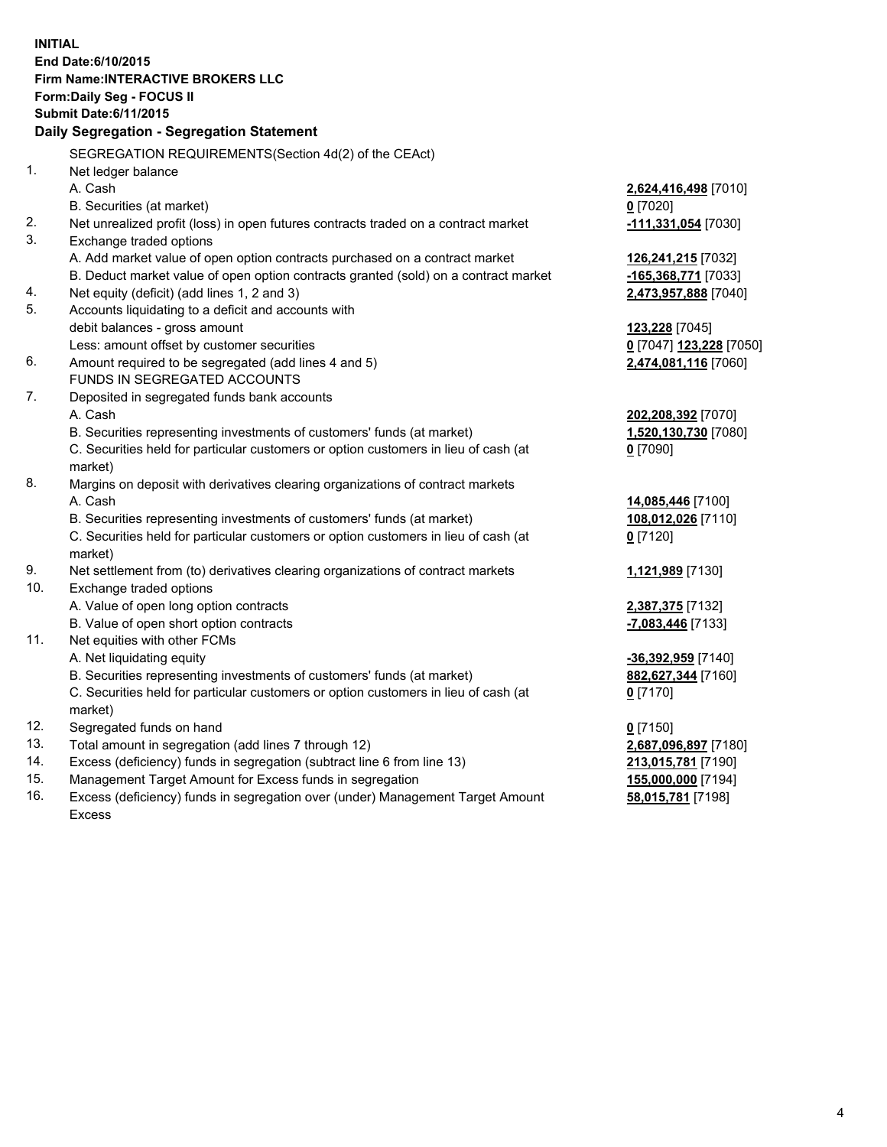**INITIAL End Date:6/10/2015 Firm Name:INTERACTIVE BROKERS LLC Form:Daily Seg - FOCUS II Submit Date:6/11/2015 Daily Segregation - Segregation Statement** SEGREGATION REQUIREMENTS(Section 4d(2) of the CEAct) 1. Net ledger balance A. Cash **2,624,416,498** [7010] B. Securities (at market) **0** [7020] 2. Net unrealized profit (loss) in open futures contracts traded on a contract market **-111,331,054** [7030] 3. Exchange traded options A. Add market value of open option contracts purchased on a contract market **126,241,215** [7032] B. Deduct market value of open option contracts granted (sold) on a contract market **-165,368,771** [7033] 4. Net equity (deficit) (add lines 1, 2 and 3) **2,473,957,888** [7040] 5. Accounts liquidating to a deficit and accounts with debit balances - gross amount **123,228** [7045] Less: amount offset by customer securities **0** [7047] **123,228** [7050] 6. Amount required to be segregated (add lines 4 and 5) **2,474,081,116** [7060] FUNDS IN SEGREGATED ACCOUNTS 7. Deposited in segregated funds bank accounts A. Cash **202,208,392** [7070] B. Securities representing investments of customers' funds (at market) **1,520,130,730** [7080] C. Securities held for particular customers or option customers in lieu of cash (at market) **0** [7090] 8. Margins on deposit with derivatives clearing organizations of contract markets A. Cash **14,085,446** [7100] B. Securities representing investments of customers' funds (at market) **108,012,026** [7110] C. Securities held for particular customers or option customers in lieu of cash (at market) **0** [7120] 9. Net settlement from (to) derivatives clearing organizations of contract markets **1,121,989** [7130] 10. Exchange traded options A. Value of open long option contracts **2,387,375** [7132] B. Value of open short option contracts **-7,083,446** [7133] 11. Net equities with other FCMs A. Net liquidating equity **-36,392,959** [7140] B. Securities representing investments of customers' funds (at market) **882,627,344** [7160] C. Securities held for particular customers or option customers in lieu of cash (at market) **0** [7170] 12. Segregated funds on hand **0** [7150] 13. Total amount in segregation (add lines 7 through 12) **2,687,096,897** [7180] 14. Excess (deficiency) funds in segregation (subtract line 6 from line 13) **213,015,781** [7190] 15. Management Target Amount for Excess funds in segregation **155,000,000** [7194]

16. Excess (deficiency) funds in segregation over (under) Management Target Amount Excess

**58,015,781** [7198]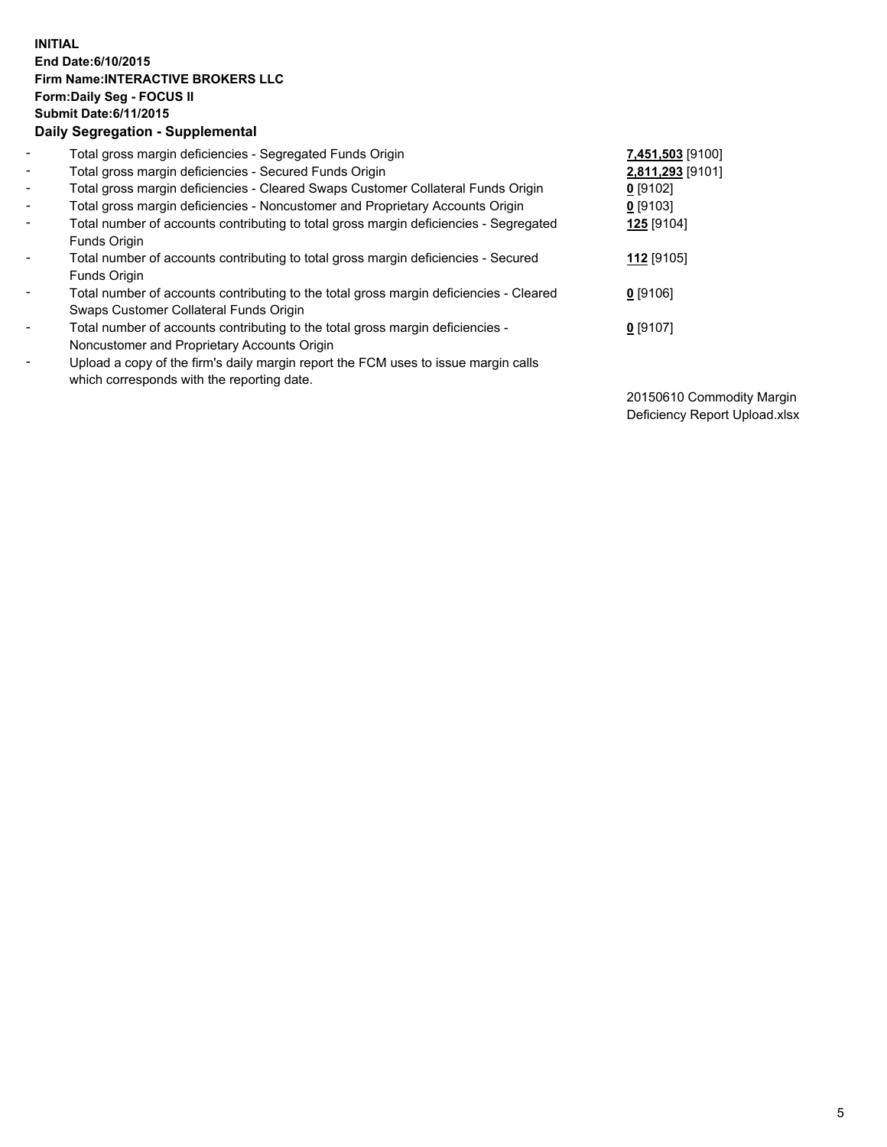## **INITIAL End Date:6/10/2015 Firm Name:INTERACTIVE BROKERS LLC Form:Daily Seg - FOCUS II Submit Date:6/11/2015 Daily Segregation - Supplemental**

| $\blacksquare$ | Total gross margin deficiencies - Segregated Funds Origin                                                                        | 7,451,503 [9100] |
|----------------|----------------------------------------------------------------------------------------------------------------------------------|------------------|
| $\blacksquare$ | Total gross margin deficiencies - Secured Funds Origin                                                                           | 2,811,293 [9101] |
| $\blacksquare$ | Total gross margin deficiencies - Cleared Swaps Customer Collateral Funds Origin                                                 | $0$ [9102]       |
| $\sim$         | Total gross margin deficiencies - Noncustomer and Proprietary Accounts Origin                                                    | $0$ [9103]       |
| $\blacksquare$ | Total number of accounts contributing to total gross margin deficiencies - Segregated<br>Funds Origin                            | 125 [9104]       |
| $\sim$         | Total number of accounts contributing to total gross margin deficiencies - Secured<br>Funds Origin                               | 112 [9105]       |
| -              | Total number of accounts contributing to the total gross margin deficiencies - Cleared<br>Swaps Customer Collateral Funds Origin | $0$ [9106]       |
| ۰              | Total number of accounts contributing to the total gross margin deficiencies -<br>Noncustomer and Proprietary Accounts Origin    | $0$ [9107]       |
| -              | Upload a copy of the firm's daily margin report the FCM uses to issue margin calls<br>which corresponds with the reporting date. |                  |

20150610 Commodity Margin Deficiency Report Upload.xlsx